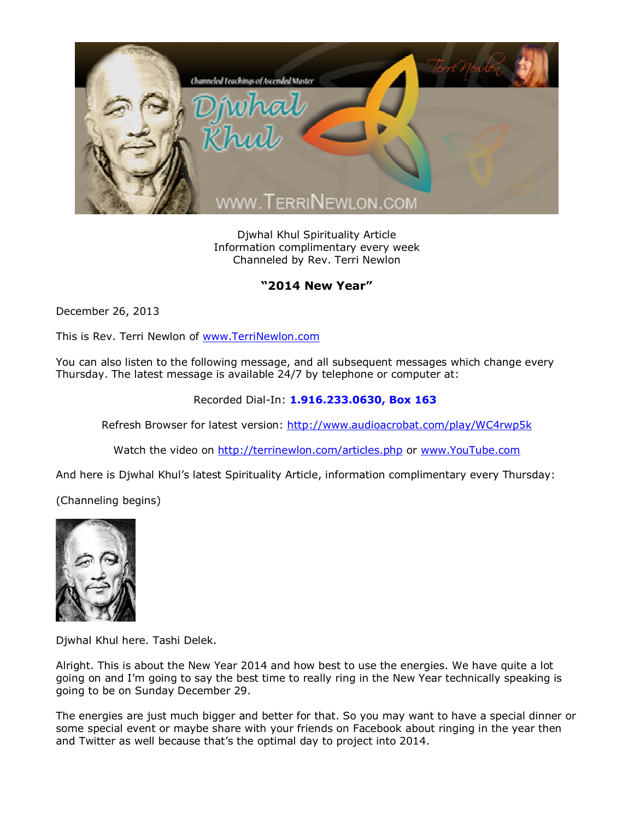

Djwhal Khul Spirituality Article Information complimentary every week Channeled by Rev. Terri Newlon

## **"2014 New Year"**

December 26, 2013

This is Rev. Terri Newlon of [www.TerriNewlon.com](http://www.terrinewlon.com/)

You can also listen to the following message, and all subsequent messages which change every Thursday. The latest message is available 24/7 by telephone or computer at:

Recorded Dial-In: **1.916.233.0630, Box 163**

Refresh Browser for latest version: <http://www.audioacrobat.com/play/WC4rwp5k>

Watch the video on <http://terrinewlon.com/articles.php> or [www.YouTube.com](http://www.youtube.com/)

And here is Djwhal Khul's latest Spirituality Article, information complimentary every Thursday:

(Channeling begins)



Djwhal Khul here. Tashi Delek.

Alright. This is about the New Year 2014 and how best to use the energies. We have quite a lot going on and I'm going to say the best time to really ring in the New Year technically speaking is going to be on Sunday December 29.

The energies are just much bigger and better for that. So you may want to have a special dinner or some special event or maybe share with your friends on Facebook about ringing in the year then and Twitter as well because that's the optimal day to project into 2014.